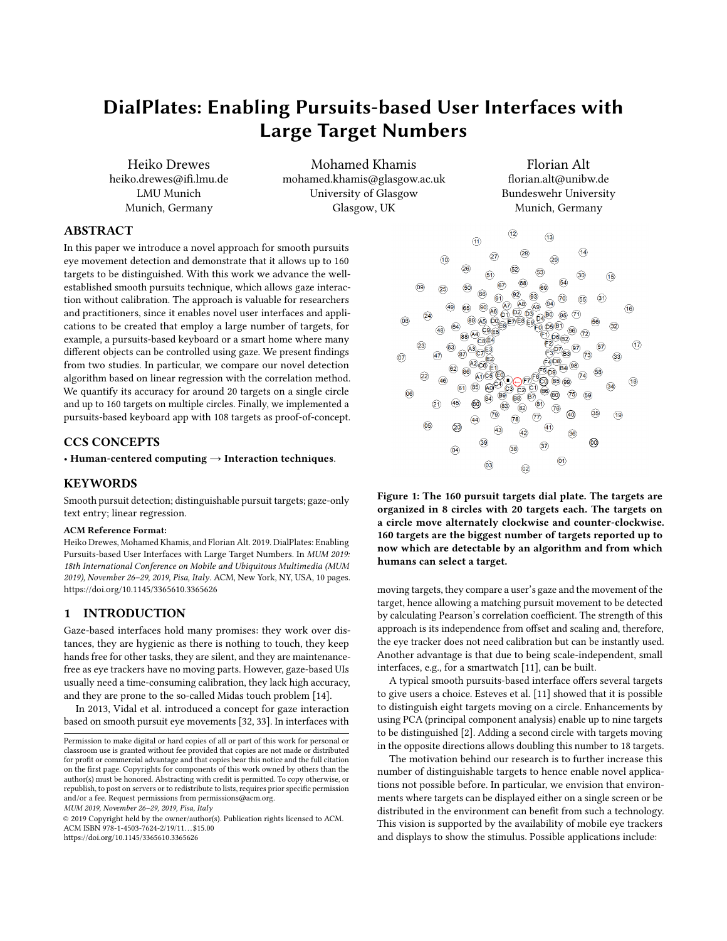# DialPlates: Enabling Pursuits-based User Interfaces with Large Target Numbers

Heiko Drewes heiko.drewes@ifi.lmu.de LMU Munich Munich, Germany

Mohamed Khamis mohamed.khamis@glasgow.ac.uk University of Glasgow Glasgow, UK

Florian Alt florian.alt@unibw.de Bundeswehr University Munich, Germany

### ABSTRACT

In this paper we introduce a novel approach for smooth pursuits eye movement detection and demonstrate that it allows up to 160 targets to be distinguished. With this work we advance the wellestablished smooth pursuits technique, which allows gaze interaction without calibration. The approach is valuable for researchers and practitioners, since it enables novel user interfaces and applications to be created that employ a large number of targets, for example, a pursuits-based keyboard or a smart home where many different objects can be controlled using gaze. We present findings from two studies. In particular, we compare our novel detection algorithm based on linear regression with the correlation method. We quantify its accuracy for around 20 targets on a single circle and up to 160 targets on multiple circles. Finally, we implemented a pursuits-based keyboard app with 108 targets as proof-of-concept.

### CCS CONCEPTS

• Human-centered computing  $\rightarrow$  Interaction techniques.

### **KEYWORDS**

Smooth pursuit detection; distinguishable pursuit targets; gaze-only text entry; linear regression.

### ACM Reference Format:

Heiko Drewes, Mohamed Khamis, and Florian Alt. 2019. DialPlates: Enabling Pursuits-based User Interfaces with Large Target Numbers. In MUM 2019: 18th International Conference on Mobile and Ubiquitous Multimedia (MUM 2019), November 26–29, 2019, Pisa, Italy. ACM, New York, NY, USA, [10](#page-9-0) pages. <https://doi.org/10.1145/3365610.3365626>

### 1 INTRODUCTION

Gaze-based interfaces hold many promises: they work over distances, they are hygienic as there is nothing to touch, they keep hands free for other tasks, they are silent, and they are maintenancefree as eye trackers have no moving parts. However, gaze-based UIs usually need a time-consuming calibration, they lack high accuracy, and they are prone to the so-called Midas touch problem [\[14\]](#page-9-1).

In 2013, Vidal et al. introduced a concept for gaze interaction based on smooth pursuit eye movements [\[32,](#page-9-2) [33\]](#page-9-3). In interfaces with

MUM 2019, November 26–29, 2019, Pisa, Italy

© 2019 Copyright held by the owner/author(s). Publication rights licensed to ACM. ACM ISBN 978-1-4503-7624-2/19/11...\$15.00 <https://doi.org/10.1145/3365610.3365626>

<span id="page-0-0"></span>

Figure 1: The 160 pursuit targets dial plate. The targets are organized in 8 circles with 20 targets each. The targets on a circle move alternately clockwise and counter-clockwise. 160 targets are the biggest number of targets reported up to now which are detectable by an algorithm and from which humans can select a target.

moving targets, they compare a user's gaze and the movement of the target, hence allowing a matching pursuit movement to be detected by calculating Pearson's correlation coefficient. The strength of this approach is its independence from offset and scaling and, therefore, the eye tracker does not need calibration but can be instantly used. Another advantage is that due to being scale-independent, small interfaces, e.g., for a smartwatch [\[11\]](#page-9-4), can be built.

A typical smooth pursuits-based interface offers several targets to give users a choice. Esteves et al. [\[11\]](#page-9-4) showed that it is possible to distinguish eight targets moving on a circle. Enhancements by using PCA (principal component analysis) enable up to nine targets to be distinguished [\[2\]](#page-9-5). Adding a second circle with targets moving in the opposite directions allows doubling this number to 18 targets.

The motivation behind our research is to further increase this number of distinguishable targets to hence enable novel applications not possible before. In particular, we envision that environments where targets can be displayed either on a single screen or be distributed in the environment can benefit from such a technology. This vision is supported by the availability of mobile eye trackers and displays to show the stimulus. Possible applications include:

Permission to make digital or hard copies of all or part of this work for personal or classroom use is granted without fee provided that copies are not made or distributed for profit or commercial advantage and that copies bear this notice and the full citation on the first page. Copyrights for components of this work owned by others than the author(s) must be honored. Abstracting with credit is permitted. To copy otherwise, or republish, to post on servers or to redistribute to lists, requires prior specific permission and/or a fee. Request permissions from permissions@acm.org.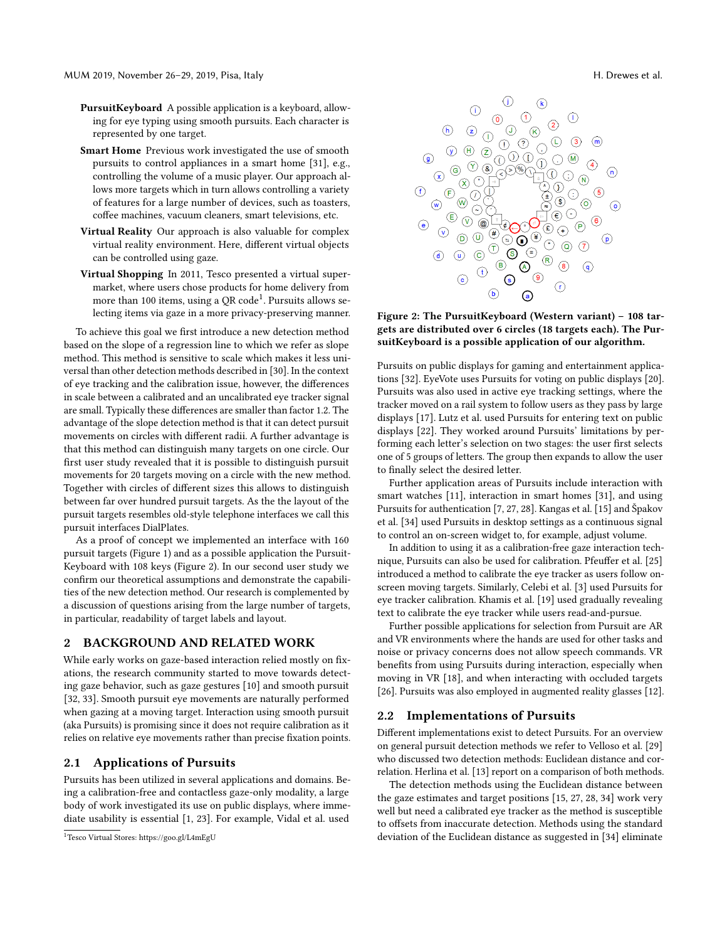MUM 2019, November 26–29, 2019, Pisa, Italy H. Drewes et al.

- PursuitKeyboard A possible application is a keyboard, allowing for eye typing using smooth pursuits. Each character is represented by one target.
- Smart Home Previous work investigated the use of smooth pursuits to control appliances in a smart home [\[31\]](#page-9-6), e.g., controlling the volume of a music player. Our approach allows more targets which in turn allows controlling a variety of features for a large number of devices, such as toasters, coffee machines, vacuum cleaners, smart televisions, etc.
- Virtual Reality Our approach is also valuable for complex virtual reality environment. Here, different virtual objects can be controlled using gaze.
- Virtual Shopping In 2011, Tesco presented a virtual supermarket, where users chose products for home delivery from more than [1](#page-1-0)00 items, using a QR code $^1$ . Pursuits allows selecting items via gaze in a more privacy-preserving manner.

To achieve this goal we first introduce a new detection method based on the slope of a regression line to which we refer as slope method. This method is sensitive to scale which makes it less universal than other detection methods described in [\[30\]](#page-9-7). In the context of eye tracking and the calibration issue, however, the differences in scale between a calibrated and an uncalibrated eye tracker signal are small. Typically these differences are smaller than factor 1.2. The advantage of the slope detection method is that it can detect pursuit movements on circles with different radii. A further advantage is that this method can distinguish many targets on one circle. Our first user study revealed that it is possible to distinguish pursuit movements for 20 targets moving on a circle with the new method. Together with circles of different sizes this allows to distinguish between far over hundred pursuit targets. As the the layout of the pursuit targets resembles old-style telephone interfaces we call this pursuit interfaces DialPlates.

As a proof of concept we implemented an interface with 160 pursuit targets (Figure [1\)](#page-0-0) and as a possible application the Pursuit-Keyboard with 108 keys (Figure [2\)](#page-1-1). In our second user study we confirm our theoretical assumptions and demonstrate the capabilities of the new detection method. Our research is complemented by a discussion of questions arising from the large number of targets, in particular, readability of target labels and layout.

### 2 BACKGROUND AND RELATED WORK

While early works on gaze-based interaction relied mostly on fixations, the research community started to move towards detecting gaze behavior, such as gaze gestures [\[10\]](#page-9-8) and smooth pursuit [\[32,](#page-9-2) [33\]](#page-9-3). Smooth pursuit eye movements are naturally performed when gazing at a moving target. Interaction using smooth pursuit (aka Pursuits) is promising since it does not require calibration as it relies on relative eye movements rather than precise fixation points.

### 2.1 Applications of Pursuits

Pursuits has been utilized in several applications and domains. Being a calibration-free and contactless gaze-only modality, a large body of work investigated its use on public displays, where immediate usability is essential [\[1,](#page-9-9) [23\]](#page-9-10). For example, Vidal et al. used

<span id="page-1-1"></span>

Figure 2: The PursuitKeyboard (Western variant) – 108 targets are distributed over 6 circles (18 targets each). The PursuitKeyboard is a possible application of our algorithm.

Pursuits on public displays for gaming and entertainment applications [\[32\]](#page-9-2). EyeVote uses Pursuits for voting on public displays [\[20\]](#page-9-11). Pursuits was also used in active eye tracking settings, where the tracker moved on a rail system to follow users as they pass by large displays [\[17\]](#page-9-12). Lutz et al. used Pursuits for entering text on public displays [\[22\]](#page-9-13). They worked around Pursuits' limitations by performing each letter's selection on two stages: the user first selects one of 5 groups of letters. The group then expands to allow the user to finally select the desired letter.

Further application areas of Pursuits include interaction with smart watches [\[11\]](#page-9-4), interaction in smart homes [\[31\]](#page-9-6), and using Pursuits for authentication [\[7,](#page-9-14) [27,](#page-9-15) [28\]](#page-9-16). Kangas et al. [\[15\]](#page-9-17) and Špakov et al. [\[34\]](#page-9-18) used Pursuits in desktop settings as a continuous signal to control an on-screen widget to, for example, adjust volume.

In addition to using it as a calibration-free gaze interaction technique, Pursuits can also be used for calibration. Pfeuffer et al. [\[25\]](#page-9-19) introduced a method to calibrate the eye tracker as users follow onscreen moving targets. Similarly, Celebi et al. [\[3\]](#page-9-20) used Pursuits for eye tracker calibration. Khamis et al. [\[19\]](#page-9-21) used gradually revealing text to calibrate the eye tracker while users read-and-pursue.

Further possible applications for selection from Pursuit are AR and VR environments where the hands are used for other tasks and noise or privacy concerns does not allow speech commands. VR benefits from using Pursuits during interaction, especially when moving in VR [\[18\]](#page-9-22), and when interacting with occluded targets [\[26\]](#page-9-23). Pursuits was also employed in augmented reality glasses [\[12\]](#page-9-24).

### 2.2 Implementations of Pursuits

Different implementations exist to detect Pursuits. For an overview on general pursuit detection methods we refer to Velloso et al. [\[29\]](#page-9-25) who discussed two detection methods: Euclidean distance and correlation. Herlina et al. [\[13\]](#page-9-26) report on a comparison of both methods.

The detection methods using the Euclidean distance between the gaze estimates and target positions [\[15,](#page-9-17) [27,](#page-9-15) [28,](#page-9-16) [34\]](#page-9-18) work very well but need a calibrated eye tracker as the method is susceptible to offsets from inaccurate detection. Methods using the standard deviation of the Euclidean distance as suggested in [\[34\]](#page-9-18) eliminate

<span id="page-1-0"></span><sup>1</sup>Tesco Virtual Stores:<https://goo.gl/L4mEgU>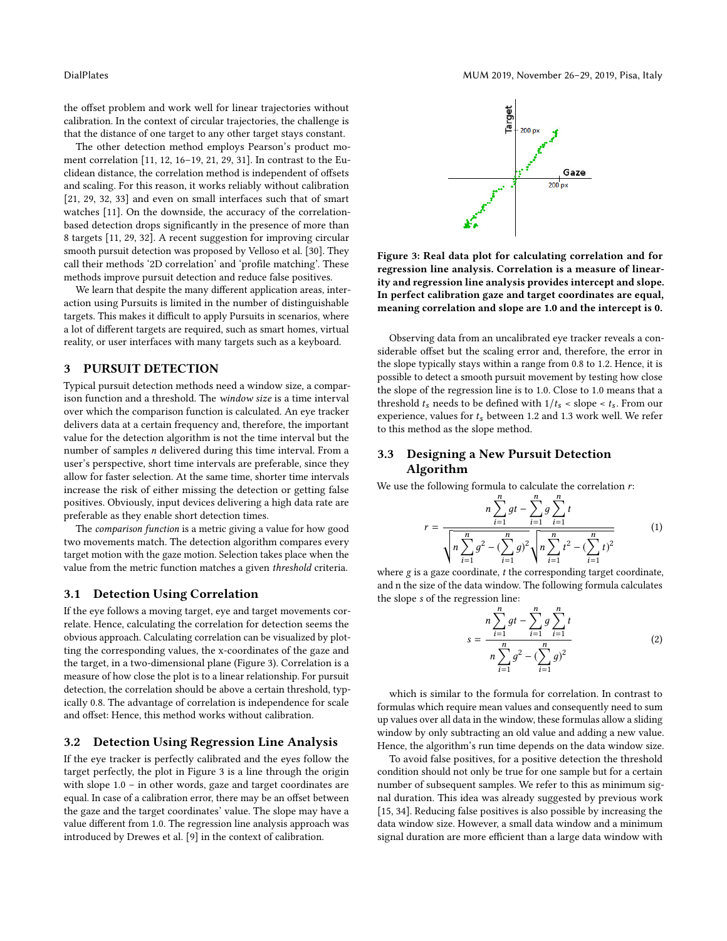the offset problem and work well for linear trajectories without calibration. In the context of circular trajectories, the challenge is that the distance of one target to any other target stays constant.

The other detection method employs Pearson's product moment correlation [\[11,](#page-9-4) [12,](#page-9-24) [16–](#page-9-27)[19,](#page-9-21) [21,](#page-9-28) [29,](#page-9-25) [31\]](#page-9-6). In contrast to the Euclidean distance, the correlation method is independent of offsets and scaling. For this reason, it works reliably without calibration [\[21,](#page-9-28) [29,](#page-9-25) [32,](#page-9-2) [33\]](#page-9-3) and even on small interfaces such that of smart watches [\[11\]](#page-9-4). On the downside, the accuracy of the correlationbased detection drops significantly in the presence of more than 8 targets [\[11,](#page-9-4) [29,](#page-9-25) [32\]](#page-9-2). A recent suggestion for improving circular smooth pursuit detection was proposed by Velloso et al. [\[30\]](#page-9-7). They call their methods '2D correlation' and 'profile matching'. These methods improve pursuit detection and reduce false positives.

We learn that despite the many different application areas, interaction using Pursuits is limited in the number of distinguishable targets. This makes it difficult to apply Pursuits in scenarios, where a lot of different targets are required, such as smart homes, virtual reality, or user interfaces with many targets such as a keyboard.

### 3 PURSUIT DETECTION

Typical pursuit detection methods need a window size, a comparison function and a threshold. The window size is a time interval over which the comparison function is calculated. An eye tracker delivers data at a certain frequency and, therefore, the important value for the detection algorithm is not the time interval but the number of samples n delivered during this time interval. From a user's perspective, short time intervals are preferable, since they allow for faster selection. At the same time, shorter time intervals increase the risk of either missing the detection or getting false positives. Obviously, input devices delivering a high data rate are preferable as they enable short detection times.

The comparison function is a metric giving a value for how good two movements match. The detection algorithm compares every target motion with the gaze motion. Selection takes place when the value from the metric function matches a given threshold criteria.

### 3.1 Detection Using Correlation

If the eye follows a moving target, eye and target movements correlate. Hence, calculating the correlation for detection seems the obvious approach. Calculating correlation can be visualized by plotting the corresponding values, the x-coordinates of the gaze and the target, in a two-dimensional plane (Figure [3\)](#page-2-0). Correlation is a measure of how close the plot is to a linear relationship. For pursuit detection, the correlation should be above a certain threshold, typically 0.8. The advantage of correlation is independence for scale and offset: Hence, this method works without calibration.

### 3.2 Detection Using Regression Line Analysis

If the eye tracker is perfectly calibrated and the eyes follow the target perfectly, the plot in Figure [3](#page-2-0) is a line through the origin with slope 1.0 – in other words, gaze and target coordinates are equal. In case of a calibration error, there may be an offset between the gaze and the target coordinates' value. The slope may have a value different from 1.0. The regression line analysis approach was introduced by Drewes et al. [\[9\]](#page-9-29) in the context of calibration.

<span id="page-2-0"></span>

Figure 3: Real data plot for calculating correlation and for regression line analysis. Correlation is a measure of linearity and regression line analysis provides intercept and slope. In perfect calibration gaze and target coordinates are equal, meaning correlation and slope are 1.0 and the intercept is 0.

Observing data from an uncalibrated eye tracker reveals a considerable offset but the scaling error and, therefore, the error in the slope typically stays within a range from 0.8 to 1.2. Hence, it is possible to detect a smooth pursuit movement by testing how close the slope of the regression line is to 1.0. Close to 1.0 means that a threshold  $t_s$  needs to be defined with  $1/t_s$  < slope <  $t_s$ . From our experience, values for  $t_s$  between 1.2 and 1.3 work well. We refer to this method as the slope method.

## 3.3 Designing a New Pursuit Detection Algorithm

We use the following formula to calculate the correlation  $r$ :

$$
r = \frac{n \sum_{i=1}^{n} gt - \sum_{i=1}^{n} g \sum_{i=1}^{n} t}{\sqrt{n \sum_{i=1}^{n} g^{2} - (\sum_{i=1}^{n} g)^{2}} \sqrt{n \sum_{i=1}^{n} t^{2} - (\sum_{i=1}^{n} t)^{2}}}
$$
(1)

where  $g$  is a gaze coordinate,  $t$  the corresponding target coordinate, and n the size of the data window. The following formula calculates the slope s of the regression line:

$$
s = \frac{n \sum_{i=1}^{n} gt - \sum_{i=1}^{n} g \sum_{i=1}^{n} t}{n \sum_{i=1}^{n} g^{2} - (\sum_{i=1}^{n} g)^{2}}
$$
(2)

which is similar to the formula for correlation. In contrast to formulas which require mean values and consequently need to sum up values over all data in the window, these formulas allow a sliding window by only subtracting an old value and adding a new value. Hence, the algorithm's run time depends on the data window size.

To avoid false positives, for a positive detection the threshold condition should not only be true for one sample but for a certain number of subsequent samples. We refer to this as minimum signal duration. This idea was already suggested by previous work [\[15,](#page-9-17) [34\]](#page-9-18). Reducing false positives is also possible by increasing the data window size. However, a small data window and a minimum signal duration are more efficient than a large data window with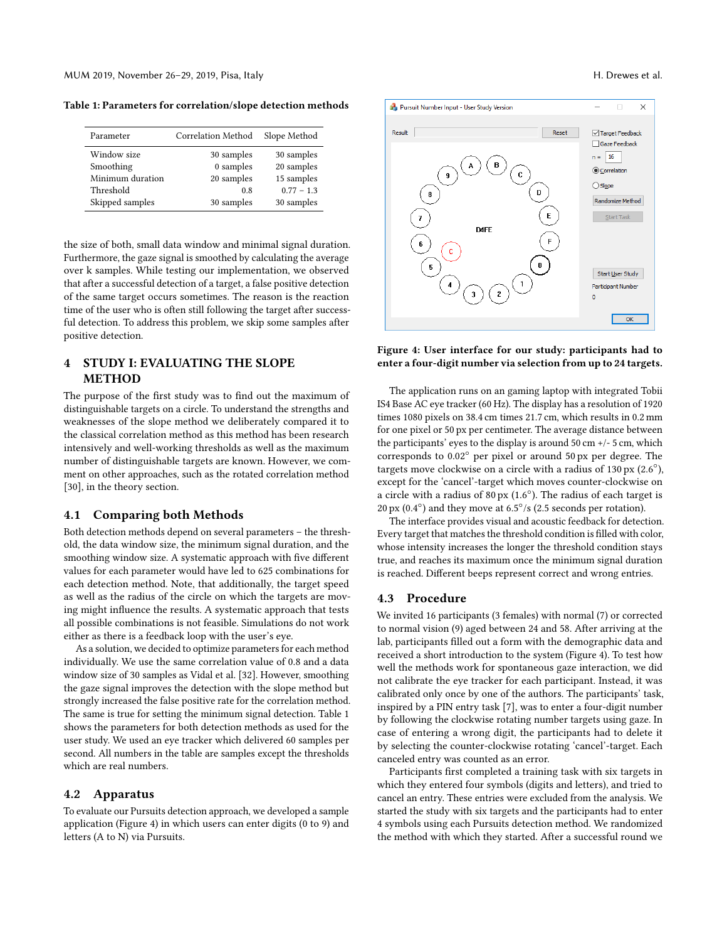<span id="page-3-0"></span>Table 1: Parameters for correlation/slope detection methods

| Parameter        | Correlation Method | Slope Method |
|------------------|--------------------|--------------|
| Window size      | 30 samples         | 30 samples   |
| Smoothing        | 0 samples          | 20 samples   |
| Minimum duration | 20 samples         | 15 samples   |
| Threshold        | 0.8                | $0.77 - 1.3$ |
| Skipped samples  | 30 samples         | 30 samples   |

the size of both, small data window and minimal signal duration. Furthermore, the gaze signal is smoothed by calculating the average over k samples. While testing our implementation, we observed that after a successful detection of a target, a false positive detection of the same target occurs sometimes. The reason is the reaction time of the user who is often still following the target after successful detection. To address this problem, we skip some samples after positive detection.

## 4 STUDY I: EVALUATING THE SLOPE METHOD

The purpose of the first study was to find out the maximum of distinguishable targets on a circle. To understand the strengths and weaknesses of the slope method we deliberately compared it to the classical correlation method as this method has been research intensively and well-working thresholds as well as the maximum number of distinguishable targets are known. However, we comment on other approaches, such as the rotated correlation method [\[30\]](#page-9-7), in the theory section.

### 4.1 Comparing both Methods

Both detection methods depend on several parameters – the threshold, the data window size, the minimum signal duration, and the smoothing window size. A systematic approach with five different values for each parameter would have led to 625 combinations for each detection method. Note, that additionally, the target speed as well as the radius of the circle on which the targets are moving might influence the results. A systematic approach that tests all possible combinations is not feasible. Simulations do not work either as there is a feedback loop with the user's eye.

As a solution, we decided to optimize parameters for each method individually. We use the same correlation value of 0.8 and a data window size of 30 samples as Vidal et al. [\[32\]](#page-9-2). However, smoothing the gaze signal improves the detection with the slope method but strongly increased the false positive rate for the correlation method. The same is true for setting the minimum signal detection. Table [1](#page-3-0) shows the parameters for both detection methods as used for the user study. We used an eye tracker which delivered 60 samples per second. All numbers in the table are samples except the thresholds which are real numbers.

### 4.2 Apparatus

To evaluate our Pursuits detection approach, we developed a sample application (Figure [4\)](#page-3-1) in which users can enter digits (0 to 9) and letters (A to N) via Pursuits.



<span id="page-3-1"></span>

Figure 4: User interface for our study: participants had to enter a four-digit number via selection from up to 24 targets.

The application runs on an gaming laptop with integrated Tobii IS4 Base AC eye tracker (60 Hz). The display has a resolution of 1920 times 1080 pixels on 38.4 cm times 21.7 cm, which results in 0.2 mm for one pixel or 50 px per centimeter. The average distance between the participants' eyes to the display is around  $50 \text{ cm} +/-5 \text{ cm}$ , which corresponds to 0.02◦ per pixel or around 50 px per degree. The targets move clockwise on a circle with a radius of 130 px (2.6◦ ), except for the 'cancel'-target which moves counter-clockwise on a circle with a radius of  $80\,\mathrm{px}$  (1.6 $^\circ$ ). The radius of each target is 20 px  $(0.4°)$  and they move at 6.5°/s (2.5 seconds per rotation).

The interface provides visual and acoustic feedback for detection. Every target that matches the threshold condition is filled with color, whose intensity increases the longer the threshold condition stays true, and reaches its maximum once the minimum signal duration is reached. Different beeps represent correct and wrong entries.

### 4.3 Procedure

We invited 16 participants (3 females) with normal (7) or corrected to normal vision (9) aged between 24 and 58. After arriving at the lab, participants filled out a form with the demographic data and received a short introduction to the system (Figure [4\)](#page-3-1). To test how well the methods work for spontaneous gaze interaction, we did not calibrate the eye tracker for each participant. Instead, it was calibrated only once by one of the authors. The participants' task, inspired by a PIN entry task [\[7\]](#page-9-14), was to enter a four-digit number by following the clockwise rotating number targets using gaze. In case of entering a wrong digit, the participants had to delete it by selecting the counter-clockwise rotating 'cancel'-target. Each canceled entry was counted as an error.

Participants first completed a training task with six targets in which they entered four symbols (digits and letters), and tried to cancel an entry. These entries were excluded from the analysis. We started the study with six targets and the participants had to enter 4 symbols using each Pursuits detection method. We randomized the method with which they started. After a successful round we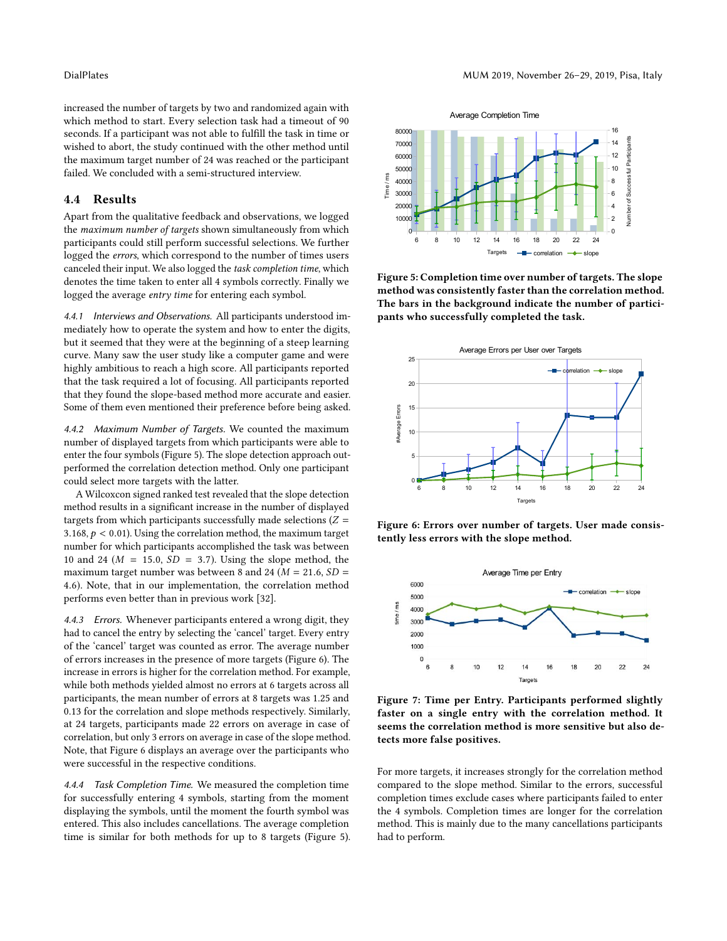increased the number of targets by two and randomized again with which method to start. Every selection task had a timeout of 90 seconds. If a participant was not able to fulfill the task in time or wished to abort, the study continued with the other method until the maximum target number of 24 was reached or the participant failed. We concluded with a semi-structured interview.

### 4.4 Results  $4.4$

Apart from the qualitative feedback and observations, we logged the maximum number of targets shown simultaneously from which participants could still perform successful selections. We further logged the *errors*, which correspond to the number of times users canceled their input. We also logged the task completion time, which denotes the time taken to enter all 4 symbols correctly. Finally we logged the average entry time for entering each symbol.

4.4.1 Interviews and Observations. All participants understood immediately how to operate the system and how to enter the digits, but it seemed that they were at the beginning of a steep learning curve. Many saw the user study like a computer game and were highly ambitious to reach a high score. All participants reported that the task required a lot of focusing. All participants reported that they found the slope-based method more accurate and easier. Some of them even mentioned their preference before being asked.

4.4.2 Maximum Number of Targets. We counted the maximum number of displayed targets from which participants were able to enter the four symbols (Figure [5\)](#page-4-0). The slope detection approach outperformed the correlation detection method. Only one participant could select more targets with the latter.

A Wilcoxcon signed ranked test revealed that the slope detection method results in a significant increase in the number of displayed targets from which participants successfully made selections  $(Z =$ 3.168,  $p < 0.01$ ). Using the correlation method, the maximum target number for which participants accomplished the task was between 10 and 24 ( $M = 15.0$ ,  $SD = 3.7$ ). Using the slope method, the maximum target number was between 8 and 24 ( $M = 21.6$ ,  $SD =$ <sup>4</sup>.6). Note, that in our implementation, the correlation method performs even better than in previous work [\[32\]](#page-9-2).

4.4.3 Errors. Whenever participants entered a wrong digit, they had to cancel the entry by selecting the 'cancel' target. Every entry of the 'cancel' target was counted as error. The average number of errors increases in the presence of more targets (Figure [6\)](#page-4-1). The increase in errors is higher for the correlation method. For example, while both methods yielded almost no errors at 6 targets across all participants, the mean number of errors at 8 targets was 1.25 and 0.13 for the correlation and slope methods respectively. Similarly, at 24 targets, participants made 22 errors on average in case of correlation, but only 3 errors on average in case of the slope method. Note, that Figure [6](#page-4-1) displays an average over the participants who were successful in the respective conditions.

4.4.4 Task Completion Time. We measured the completion time for successfully entering 4 symbols, starting from the moment displaying the symbols, until the moment the fourth symbol was entered. This also includes cancellations. The average completion time is similar for both methods for up to 8 targets (Figure [5\)](#page-4-0).

<span id="page-4-0"></span>

Figure 5: Completion time over number of targets. The slope method was consistently faster than the correlation method. The bars in the background indicate the number of participants who successfully completed the task.

<span id="page-4-1"></span>

tently less errors with the slope method. Figure 6: Errors over number of targets. User made consis-

<span id="page-4-2"></span>

Figure 7: Time per Entry. Participants performed slightly faster on a single entry with the correlation method. It seems the correlation method is more sensitive but also detects more false positives.

For more targets, it increases strongly for the correlation method compared to the slope method. Similar to the errors, successful completion times exclude cases where participants failed to enter the 4 symbols. Completion times are longer for the correlation method. This is mainly due to the many cancellations participants had to perform.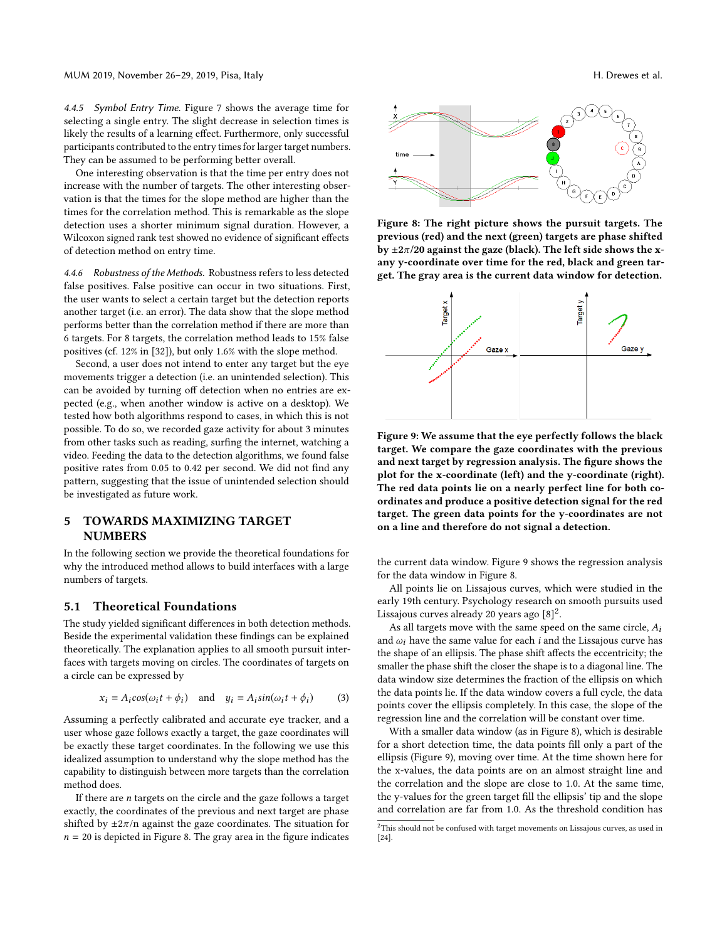4.4.5 Symbol Entry Time. Figure [7](#page-4-2) shows the average time for selecting a single entry. The slight decrease in selection times is likely the results of a learning effect. Furthermore, only successful participants contributed to the entry times for larger target numbers. They can be assumed to be performing better overall.

One interesting observation is that the time per entry does not increase with the number of targets. The other interesting observation is that the times for the slope method are higher than the times for the correlation method. This is remarkable as the slope detection uses a shorter minimum signal duration. However, a Wilcoxon signed rank test showed no evidence of significant effects of detection method on entry time.

4.4.6 Robustness of the Methods. Robustness refers to less detected false positives. False positive can occur in two situations. First, the user wants to select a certain target but the detection reports another target (i.e. an error). The data show that the slope method performs better than the correlation method if there are more than 6 targets. For 8 targets, the correlation method leads to 15% false positives (cf. 12% in [\[32\]](#page-9-2)), but only 1.6% with the slope method.

Second, a user does not intend to enter any target but the eye movements trigger a detection (i.e. an unintended selection). This can be avoided by turning off detection when no entries are expected (e.g., when another window is active on a desktop). We tested how both algorithms respond to cases, in which this is not possible. To do so, we recorded gaze activity for about 3 minutes from other tasks such as reading, surfing the internet, watching a video. Feeding the data to the detection algorithms, we found false positive rates from 0.05 to 0.42 per second. We did not find any pattern, suggesting that the issue of unintended selection should be investigated as future work.

## 5 TOWARDS MAXIMIZING TARGET **NUMBERS**

In the following section we provide the theoretical foundations for why the introduced method allows to build interfaces with a large numbers of targets.

### 5.1 Theoretical Foundations

The study yielded significant differences in both detection methods. Beside the experimental validation these findings can be explained theoretically. The explanation applies to all smooth pursuit interfaces with targets moving on circles. The coordinates of targets on a circle can be expressed by

$$
x_i = A_i \cos(\omega_i t + \phi_i) \quad \text{and} \quad y_i = A_i \sin(\omega_i t + \phi_i) \tag{3}
$$

Assuming a perfectly calibrated and accurate eye tracker, and a user whose gaze follows exactly a target, the gaze coordinates will be exactly these target coordinates. In the following we use this idealized assumption to understand why the slope method has the capability to distinguish between more targets than the correlation method does.

If there are  $n$  targets on the circle and the gaze follows a target exactly, the coordinates of the previous and next target are phase shifted by  $\pm 2\pi/n$  against the gaze coordinates. The situation for  $n = 20$  is depicted in Figure [8.](#page-5-0) The gray area in the figure indicates

<span id="page-5-0"></span>

Figure 8: The right picture shows the pursuit targets. The previous (red) and the next (green) targets are phase shifted by  $\pm 2\pi/20$  against the gaze (black). The left side shows the xany y-coordinate over time for the red, black and green target. The gray area is the current data window for detection.

<span id="page-5-1"></span>

Figure 9: We assume that the eye perfectly follows the black target. We compare the gaze coordinates with the previous and next target by regression analysis. The figure shows the plot for the x-coordinate (left) and the y-coordinate (right). The red data points lie on a nearly perfect line for both coordinates and produce a positive detection signal for the red target. The green data points for the y-coordinates are not on a line and therefore do not signal a detection.

the current data window. Figure [9](#page-5-1) shows the regression analysis for the data window in Figure [8.](#page-5-0)

All points lie on Lissajous curves, which were studied in the early 19th century. Psychology research on smooth pursuits used Lissajous curves already [2](#page-5-2)0 years ago  $[8]^2$  $[8]^2$ .

As all targets move with the same speed on the same circle,  $A_i$ and  $\omega_i$  have the same value for each *i* and the Lissajous curve has the shape of an ellipsis. The phase shift affects the eccentricity; the smaller the phase shift the closer the shape is to a diagonal line. The data window size determines the fraction of the ellipsis on which the data points lie. If the data window covers a full cycle, the data points cover the ellipsis completely. In this case, the slope of the regression line and the correlation will be constant over time.

With a smaller data window (as in Figure [8\)](#page-5-0), which is desirable for a short detection time, the data points fill only a part of the ellipsis (Figure [9\)](#page-5-1), moving over time. At the time shown here for the x-values, the data points are on an almost straight line and the correlation and the slope are close to 1.0. At the same time, the y-values for the green target fill the ellipsis' tip and the slope and correlation are far from 1.0. As the threshold condition has

<span id="page-5-2"></span> $^2 \mathrm{This}$  should not be confused with target movements on Lissajous curves, as used in [\[24\]](#page-9-31).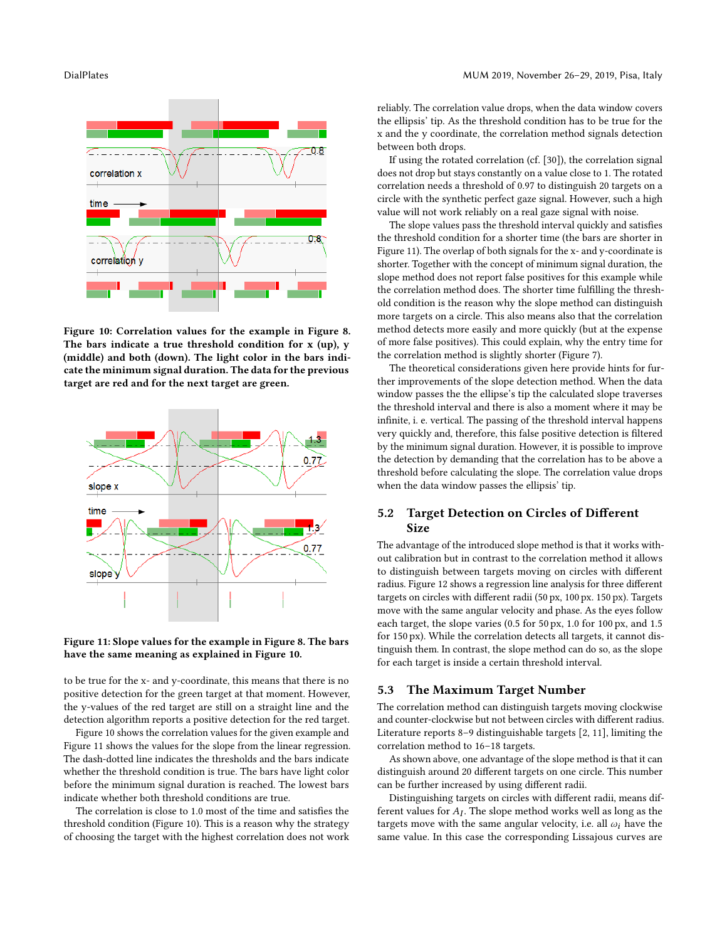<span id="page-6-0"></span>

Figure 10: Correlation values for the example in Figure [8.](#page-5-0) The bars indicate a true threshold condition for x (up), y (middle) and both (down). The light color in the bars indicate the minimum signal duration. The data for the previous target are red and for the next target are green.

<span id="page-6-1"></span>



to be true for the x- and y-coordinate, this means that there is no positive detection for the green target at that moment. However, the y-values of the red target are still on a straight line and the detection algorithm reports a positive detection for the red target.

Figure [10](#page-6-0) shows the correlation values for the given example and Figure [11](#page-6-1) shows the values for the slope from the linear regression. The dash-dotted line indicates the thresholds and the bars indicate whether the threshold condition is true. The bars have light color before the minimum signal duration is reached. The lowest bars indicate whether both threshold conditions are true.

The correlation is close to 1.0 most of the time and satisfies the threshold condition (Figure [10\)](#page-6-0). This is a reason why the strategy of choosing the target with the highest correlation does not work reliably. The correlation value drops, when the data window covers the ellipsis' tip. As the threshold condition has to be true for the x and the y coordinate, the correlation method signals detection between both drops.

If using the rotated correlation (cf. [\[30\]](#page-9-7)), the correlation signal does not drop but stays constantly on a value close to 1. The rotated correlation needs a threshold of 0.97 to distinguish 20 targets on a circle with the synthetic perfect gaze signal. However, such a high value will not work reliably on a real gaze signal with noise.

The slope values pass the threshold interval quickly and satisfies the threshold condition for a shorter time (the bars are shorter in Figure [11\)](#page-6-1). The overlap of both signals for the x- and y-coordinate is shorter. Together with the concept of minimum signal duration, the slope method does not report false positives for this example while the correlation method does. The shorter time fulfilling the threshold condition is the reason why the slope method can distinguish more targets on a circle. This also means also that the correlation method detects more easily and more quickly (but at the expense of more false positives). This could explain, why the entry time for the correlation method is slightly shorter (Figure [7\)](#page-4-2).

The theoretical considerations given here provide hints for further improvements of the slope detection method. When the data window passes the the ellipse's tip the calculated slope traverses the threshold interval and there is also a moment where it may be infinite, i. e. vertical. The passing of the threshold interval happens very quickly and, therefore, this false positive detection is filtered by the minimum signal duration. However, it is possible to improve the detection by demanding that the correlation has to be above a threshold before calculating the slope. The correlation value drops when the data window passes the ellipsis' tip.

### 5.2 Target Detection on Circles of Different **Size**

The advantage of the introduced slope method is that it works without calibration but in contrast to the correlation method it allows to distinguish between targets moving on circles with different radius. Figure [12](#page-7-0) shows a regression line analysis for three different targets on circles with different radii (50 px, 100 px. 150 px). Targets move with the same angular velocity and phase. As the eyes follow each target, the slope varies (0.5 for 50 px, 1.0 for 100 px, and 1.5 for 150 px). While the correlation detects all targets, it cannot distinguish them. In contrast, the slope method can do so, as the slope for each target is inside a certain threshold interval.

### 5.3 The Maximum Target Number

The correlation method can distinguish targets moving clockwise and counter-clockwise but not between circles with different radius. Literature reports 8–9 distinguishable targets [\[2,](#page-9-5) [11\]](#page-9-4), limiting the correlation method to 16–18 targets.

As shown above, one advantage of the slope method is that it can distinguish around 20 different targets on one circle. This number can be further increased by using different radii.

Distinguishing targets on circles with different radii, means different values for  $A_I$ . The slope method works well as long as the threats move with the same angular velocity i.e. all  $\omega$  have the targets move with the same angular velocity, i.e. all  $\omega_i$  have the same value. In this case the corresponding Lissajous curves are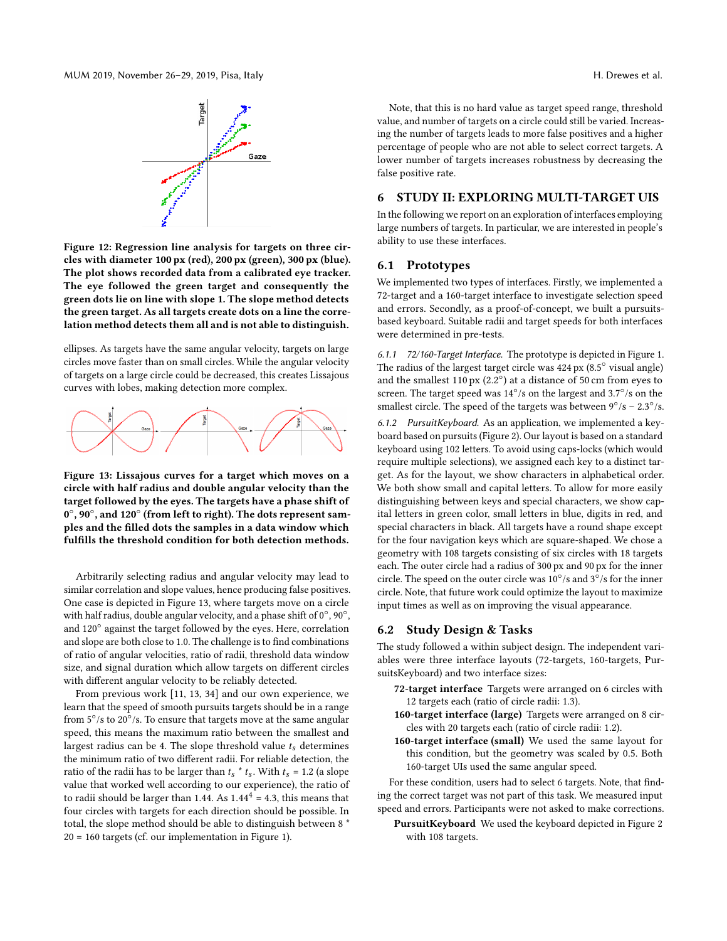<span id="page-7-0"></span>

Figure 12: Regression line analysis for targets on three circles with diameter 100 px (red), 200 px (green), 300 px (blue). The plot shows recorded data from a calibrated eye tracker. The eye followed the green target and consequently the green dots lie on line with slope 1. The slope method detects the green target. As all targets create dots on a line the correlation method detects them all and is not able to distinguish.

ellipses. As targets have the same angular velocity, targets on large circles move faster than on small circles. While the angular velocity of targets on a large circle could be decreased, this creates Lissajous curves with lobes, making detection more complex.

<span id="page-7-1"></span>

Figure 13: Lissajous curves for a target which moves on a circle with half radius and double angular velocity than the target followed by the eyes. The targets have a phase shift of  $0^{\circ}, 90^{\circ},$  and  $120^{\circ}$  (from left to right). The dots represent samples and the filled dots the samples in a data window which fulfills the threshold condition for both detection methods.

Arbitrarily selecting radius and angular velocity may lead to similar correlation and slope values, hence producing false positives. One case is depicted in Figure [13,](#page-7-1) where targets move on a circle with half radius, double angular velocity, and a phase shift of  $0^{\circ}$ ,  $90^{\circ}$ , and 120° against the target followed by the eyes. Here, correlation and slope are both close to 1.0. The challenge is to find combinations of ratio of angular velocities, ratio of radii, threshold data window size, and signal duration which allow targets on different circles with different angular velocity to be reliably detected.

From previous work [\[11,](#page-9-4) [13,](#page-9-26) [34\]](#page-9-18) and our own experience, we learn that the speed of smooth pursuits targets should be in a range from 5°/s to 20°/s. To ensure that targets move at the same angular speed, this means the maximum ratio between the smallest and largest radius can be 4. The slope threshold value  $t_s$  determines the minimum ratio of two different radii. For reliable detection, the ratio of the radii has to be larger than  $t_s * t_s$ . With  $t_s = 1.2$  (a slope value that worked well according to our experience), the ratio of to radii should be larger than 1.44. As  $1.44^4 = 4.3$ , this means that four circles with targets for each direction should be possible. In total, the slope method should be able to distinguish between 8 \* 20 = 160 targets (cf. our implementation in Figure [1\)](#page-0-0).

Note, that this is no hard value as target speed range, threshold value, and number of targets on a circle could still be varied. Increasing the number of targets leads to more false positives and a higher percentage of people who are not able to select correct targets. A lower number of targets increases robustness by decreasing the false positive rate.

### 6 STUDY II: EXPLORING MULTI-TARGET UIS

In the following we report on an exploration of interfaces employing large numbers of targets. In particular, we are interested in people's ability to use these interfaces.

### 6.1 Prototypes

We implemented two types of interfaces. Firstly, we implemented a 72-target and a 160-target interface to investigate selection speed and errors. Secondly, as a proof-of-concept, we built a pursuitsbased keyboard. Suitable radii and target speeds for both interfaces were determined in pre-tests.

6.1.1 72/160-Target Interface. The prototype is depicted in Figure [1.](#page-0-0) The radius of the largest target circle was 424 px (8.5◦ visual angle) and the smallest 110 px  $(2.2^{\circ})$  at a distance of 50 cm from eyes to screen. The target speed was 14°/s on the largest and 3.7°/s on the smallest circle. The speed of the targets was between  $9^{\circ}/s - 2.3^{\circ}/s$ .

6.1.2 PursuitKeyboard. As an application, we implemented a keyboard based on pursuits (Figure [2\)](#page-1-1). Our layout is based on a standard keyboard using 102 letters. To avoid using caps-locks (which would require multiple selections), we assigned each key to a distinct target. As for the layout, we show characters in alphabetical order. We both show small and capital letters. To allow for more easily distinguishing between keys and special characters, we show capital letters in green color, small letters in blue, digits in red, and special characters in black. All targets have a round shape except for the four navigation keys which are square-shaped. We chose a geometry with 108 targets consisting of six circles with 18 targets each. The outer circle had a radius of 300 px and 90 px for the inner circle. The speed on the outer circle was  $10^{\circ}/s$  and  $3^{\circ}/s$  for the inner circle. Note, that future work could optimize the layout to maximize input times as well as on improving the visual appearance.

### 6.2 Study Design & Tasks

The study followed a within subject design. The independent variables were three interface layouts (72-targets, 160-targets, PursuitsKeyboard) and two interface sizes:

- 72-target interface Targets were arranged on 6 circles with 12 targets each (ratio of circle radii: 1.3).
- 160-target interface (large) Targets were arranged on 8 circles with 20 targets each (ratio of circle radii: 1.2).
- 160-target interface (small) We used the same layout for this condition, but the geometry was scaled by 0.5. Both 160-target UIs used the same angular speed.

For these condition, users had to select 6 targets. Note, that finding the correct target was not part of this task. We measured input speed and errors. Participants were not asked to make corrections.

PursuitKeyboard We used the keyboard depicted in Figure [2](#page-1-1) with 108 targets.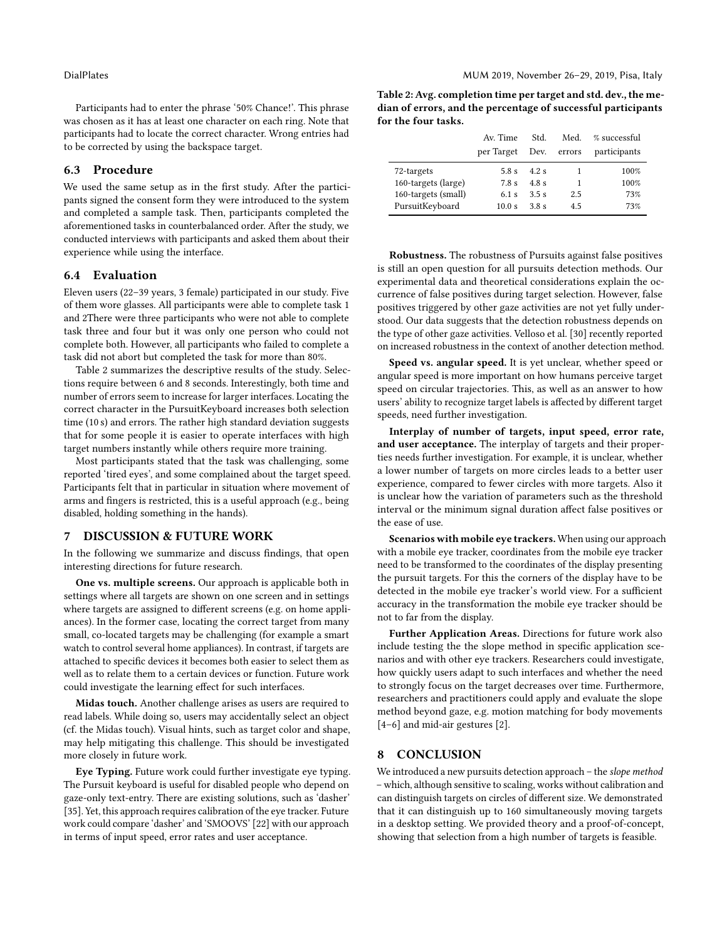Participants had to enter the phrase '50% Chance!'. This phrase was chosen as it has at least one character on each ring. Note that participants had to locate the correct character. Wrong entries had to be corrected by using the backspace target.

## 6.3 Procedure

We used the same setup as in the first study. After the participants signed the consent form they were introduced to the system and completed a sample task. Then, participants completed the aforementioned tasks in counterbalanced order. After the study, we conducted interviews with participants and asked them about their experience while using the interface.

### 6.4 Evaluation

Eleven users (22–39 years, 3 female) participated in our study. Five of them wore glasses. All participants were able to complete task 1 and 2There were three participants who were not able to complete task three and four but it was only one person who could not complete both. However, all participants who failed to complete a task did not abort but completed the task for more than 80%.

Table [2](#page-8-0) summarizes the descriptive results of the study. Selections require between 6 and 8 seconds. Interestingly, both time and number of errors seem to increase for larger interfaces. Locating the correct character in the PursuitKeyboard increases both selection time (10 s) and errors. The rather high standard deviation suggests that for some people it is easier to operate interfaces with high target numbers instantly while others require more training.

Most participants stated that the task was challenging, some reported 'tired eyes', and some complained about the target speed. Participants felt that in particular in situation where movement of arms and fingers is restricted, this is a useful approach (e.g., being disabled, holding something in the hands).

### 7 DISCUSSION & FUTURE WORK

In the following we summarize and discuss findings, that open interesting directions for future research.

One vs. multiple screens. Our approach is applicable both in settings where all targets are shown on one screen and in settings where targets are assigned to different screens (e.g. on home appliances). In the former case, locating the correct target from many small, co-located targets may be challenging (for example a smart watch to control several home appliances). In contrast, if targets are attached to specific devices it becomes both easier to select them as well as to relate them to a certain devices or function. Future work could investigate the learning effect for such interfaces.

Midas touch. Another challenge arises as users are required to read labels. While doing so, users may accidentally select an object (cf. the Midas touch). Visual hints, such as target color and shape, may help mitigating this challenge. This should be investigated more closely in future work.

Eye Typing. Future work could further investigate eye typing. The Pursuit keyboard is useful for disabled people who depend on gaze-only text-entry. There are existing solutions, such as 'dasher' [\[35\]](#page-9-32). Yet, this approach requires calibration of the eye tracker. Future work could compare 'dasher' and 'SMOOVS' [\[22\]](#page-9-13) with our approach in terms of input speed, error rates and user acceptance.

<span id="page-8-0"></span>Table 2: Avg. completion time per target and std. dev., the median of errors, and the percentage of successful participants for the four tasks.

|                     | Av. Time   | Std.  | Med.   | % successful |
|---------------------|------------|-------|--------|--------------|
|                     | per Target | Dev.  | errors | participants |
| 72-targets          | 5.8 s      | 4.2s  |        | 100%         |
| 160-targets (large) | 7.8 s      | 4.8 s | 1      | 100%         |
| 160-targets (small) | $6.1$ s    | 3.5s  | 2.5    | 73%          |
| PursuitKeyboard     | 10.0 s     | 38s   | 4.5    | 73%          |

Robustness. The robustness of Pursuits against false positives is still an open question for all pursuits detection methods. Our experimental data and theoretical considerations explain the occurrence of false positives during target selection. However, false positives triggered by other gaze activities are not yet fully understood. Our data suggests that the detection robustness depends on the type of other gaze activities. Velloso et al. [\[30\]](#page-9-7) recently reported on increased robustness in the context of another detection method.

Speed vs. angular speed. It is yet unclear, whether speed or angular speed is more important on how humans perceive target speed on circular trajectories. This, as well as an answer to how users' ability to recognize target labels is affected by different target speeds, need further investigation.

Interplay of number of targets, input speed, error rate, and user acceptance. The interplay of targets and their properties needs further investigation. For example, it is unclear, whether a lower number of targets on more circles leads to a better user experience, compared to fewer circles with more targets. Also it is unclear how the variation of parameters such as the threshold interval or the minimum signal duration affect false positives or the ease of use.

Scenarios with mobile eye trackers. When using our approach with a mobile eye tracker, coordinates from the mobile eye tracker need to be transformed to the coordinates of the display presenting the pursuit targets. For this the corners of the display have to be detected in the mobile eye tracker's world view. For a sufficient accuracy in the transformation the mobile eye tracker should be not to far from the display.

Further Application Areas. Directions for future work also include testing the the slope method in specific application scenarios and with other eye trackers. Researchers could investigate, how quickly users adapt to such interfaces and whether the need to strongly focus on the target decreases over time. Furthermore, researchers and practitioners could apply and evaluate the slope method beyond gaze, e.g. motion matching for body movements [\[4](#page-9-33)[–6\]](#page-9-34) and mid-air gestures [\[2\]](#page-9-5).

### 8 CONCLUSION

We introduced a new pursuits detection approach – the slope method – which, although sensitive to scaling, works without calibration and can distinguish targets on circles of different size. We demonstrated that it can distinguish up to 160 simultaneously moving targets in a desktop setting. We provided theory and a proof-of-concept, showing that selection from a high number of targets is feasible.